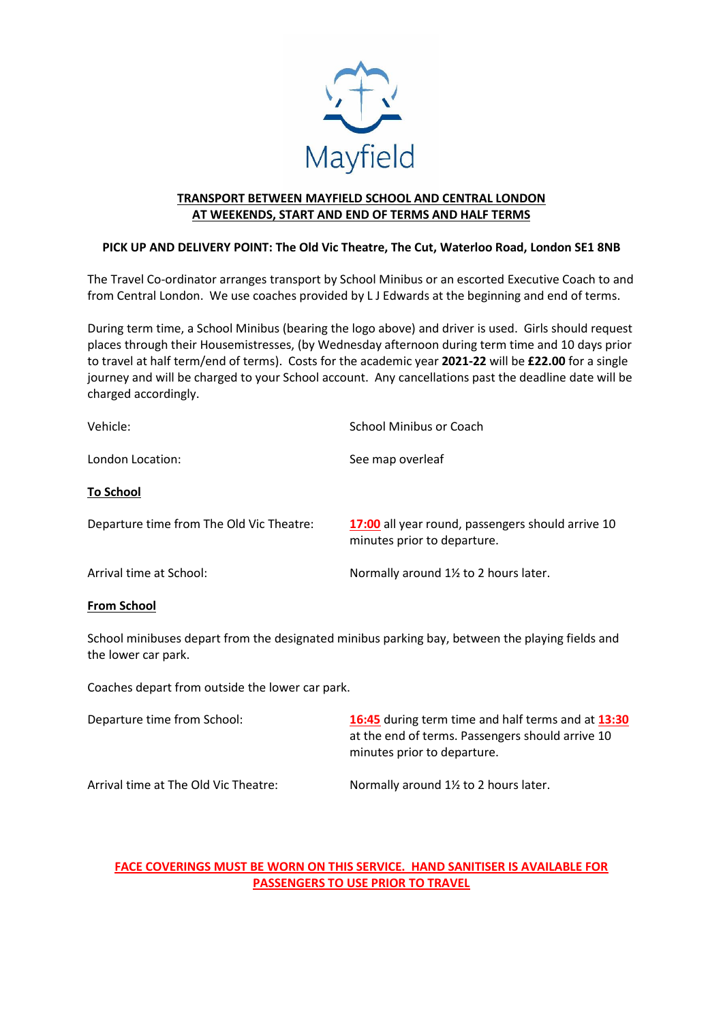

### **TRANSPORT BETWEEN MAYFIELD SCHOOL AND CENTRAL LONDON AT WEEKENDS, START AND END OF TERMS AND HALF TERMS**

### **PICK UP AND DELIVERY POINT: The Old Vic Theatre, The Cut, Waterloo Road, London SE1 8NB**

The Travel Co-ordinator arranges transport by School Minibus or an escorted Executive Coach to and from Central London. We use coaches provided by L J Edwards at the beginning and end of terms.

During term time, a School Minibus (bearing the logo above) and driver is used. Girls should request places through their Housemistresses, (by Wednesday afternoon during term time and 10 days prior to travel at half term/end of terms). Costs for the academic year **2021-22** will be **£22.00** for a single journey and will be charged to your School account. Any cancellations past the deadline date will be charged accordingly.

| Vehicle:                                 | School Minibus or Coach                                                          |
|------------------------------------------|----------------------------------------------------------------------------------|
| London Location:                         | See map overleaf                                                                 |
| <b>To School</b>                         |                                                                                  |
| Departure time from The Old Vic Theatre: | 17:00 all year round, passengers should arrive 10<br>minutes prior to departure. |
| Arrival time at School:                  | Normally around 1% to 2 hours later.                                             |

### **From School**

School minibuses depart from the designated minibus parking bay, between the playing fields and the lower car park.

Coaches depart from outside the lower car park.

| Departure time from School:          | 16:45 during term time and half terms and at 13:30<br>at the end of terms. Passengers should arrive 10<br>minutes prior to departure. |
|--------------------------------------|---------------------------------------------------------------------------------------------------------------------------------------|
| Arrival time at The Old Vic Theatre: | Normally around 1% to 2 hours later.                                                                                                  |

### **FACE COVERINGS MUST BE WORN ON THIS SERVICE. HAND SANITISER IS AVAILABLE FOR PASSENGERS TO USE PRIOR TO TRAVEL**